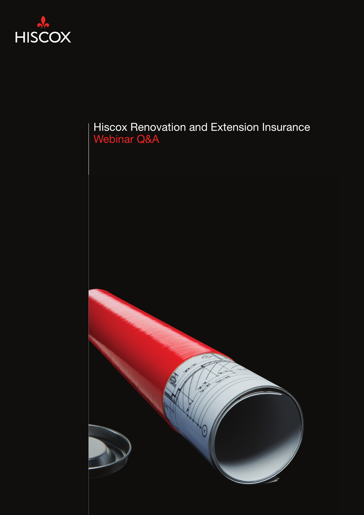

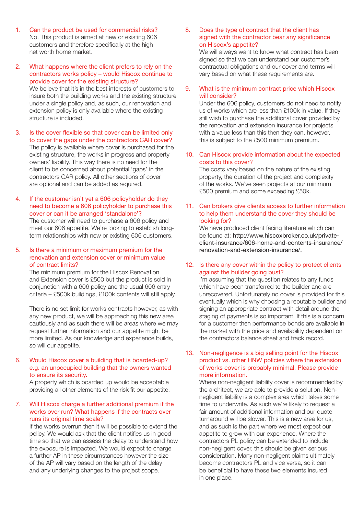- 1. Can the product be used for commercial risks? No. This product is aimed at new or existing 606 customers and therefore specifically at the high net worth home market.
- 2. What happens where the client prefers to rely on the contractors works policy – would Hiscox continue to provide cover for the existing structure? We believe that it's in the best interests of customers to insure both the building works and the existing structure under a single policy and, as such, our renovation and extension policy is only available where the existing structure is included.
- 3. Is the cover flexible so that cover can be limited only to cover the gaps under the contractors CAR cover? The policy is available where cover is purchased for the existing structure, the works in progress and property owners' liability. This way there is no need for the client to be concerned about potential 'gaps' in the contractors CAR policy. All other sections of cover are optional and can be added as required.
- 4. If the customer isn't yet a 606 policyholder do they need to become a 606 policyholder to purchase this cover or can it be arranged 'standalone'? The customer will need to purchase a 606 policy and meet our 606 appetite. We're looking to establish longterm relationships with new or existing 606 customers.

#### 5. Is there a minimum or maximum premium for the renovation and extension cover or minimum value of contract limits?

The minimum premium for the Hiscox Renovation and Extension cover is £500 but the product is sold in conjunction with a 606 policy and the usual 606 entry criteria – £500k buildings, £100k contents will still apply.

There is no set limit for works contracts however, as with any new product, we will be approaching this new area cautiously and as such there will be areas where we may request further information and our appetite might be more limited. As our knowledge and experience builds, so will our appetite.

## 6. Would Hiscox cover a building that is boarded-up? e.g. an unoccupied building that the owners wanted to ensure its security.

A property which is boarded up would be acceptable providing all other elements of the risk fit our appetite.

# 7. Will Hiscox charge a further additional premium if the works over run? What happens if the contracts over runs its original time scale?

If the works overrun then it will be possible to extend the policy. We would ask that the client notifies us in good time so that we can assess the delay to understand how the exposure is impacted. We would expect to charge a further AP in these circumstances however the size of the AP will vary based on the length of the delay and any underlying changes to the project scope.

8. Does the type of contract that the client has signed with the contractor bear any significance on Hiscox's appetite?

We will always want to know what contract has been signed so that we can understand our customer's contractual obligations and our cover and terms will vary based on what these requirements are.

9. What is the minimum contract price which Hiscox will consider?

Under the 606 policy, customers do not need to notify us of works which are less than £100k in value. If they still wish to purchase the additional cover provided by the renovation and extension insurance for projects with a value less than this then they can, however, this is subject to the £500 minimum premium.

10. Can Hiscox provide information about the expected costs to this cover?

The costs vary based on the nature of the existing property, the duration of the project and complexity of the works. We've seen projects at our minimum £500 premium and some exceeding £50k.

#### 11. Can brokers give clients access to further information to help them understand the cover they should be looking for?

We have produced client facing literature which can be found at: [http://www.hiscoxbroker.co.uk/private](http://www.hiscoxbroker.co.uk/private-client-insurance/606-home-and-contents-insurance/renovation-and-extension-insurance/)[client-insurance/606-home-and-contents-insurance/](http://www.hiscoxbroker.co.uk/private-client-insurance/606-home-and-contents-insurance/renovation-and-extension-insurance/) [renovation-and-extension-insurance/](http://www.hiscoxbroker.co.uk/private-client-insurance/606-home-and-contents-insurance/renovation-and-extension-insurance/).

## 12. Is there any cover within the policy to protect clients against the builder going bust?

I'm assuming that the question relates to any funds which have been transferred to the builder and are unrecovered. Unfortunately no cover is provided for this eventually which is why choosing a reputable builder and signing an appropriate contract with detail around the staging of payments is so important. If this is a concern for a customer then performance bonds are available in the market with the price and availability dependent on the contractors balance sheet and track record.

## 13. Non-negligence is a big selling point for the Hiscox product vs. other HNW policies where the extension of works cover is probably minimal. Please provide more information.

Where non-negligent liability cover is recommended by the architect, we are able to provide a solution. Nonnegligent liability is a complex area which takes some time to underwrite. As such we're likely to request a fair amount of additional information and our quote turnaround will be slower. This is a new area for us, and as such is the part where we most expect our appetite to grow with our experience. Where the contractors PL policy can be extended to include non-negligent cover, this should be given serious consideration. Many non-negligent claims ultimately become contractors PL and vice versa, so it can be beneficial to have these two elements insured in one place.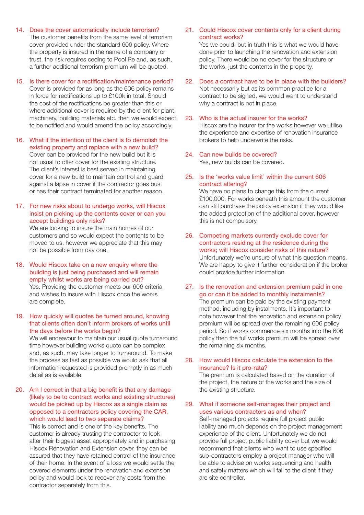- 14. Does the cover automatically include terrorism? The customer benefits from the same level of terrorism cover provided under the standard 606 policy. Where the property is insured in the name of a company or trust, the risk requires ceding to Pool Re and, as such, a further additional terrorism premium will be quoted.
- 15. Is there cover for a rectification/maintenance period? Cover is provided for as long as the 606 policy remains in force for rectifications up to £100k in total. Should the cost of the rectifications be greater than this or where additional cover is required by the client for plant, machinery, building materials etc. then we would expect to be notified and would amend the policy accordingly.
- 16. What if the intention of the client is to demolish the existing property and replace with a new build? Cover can be provided for the new build but it is not usual to offer cover for the existing structure. The client's interest is best served in maintaining cover for a new build to maintain control and guard against a lapse in cover if the contractor goes bust or has their contract terminated for another reason.

# 17. For new risks about to undergo works, will Hiscox insist on picking up the contents cover or can you accept buildings only risks?

We are looking to insure the main homes of our customers and so would expect the contents to be moved to us, however we appreciate that this may not be possible from day one.

- 18. Would Hiscox take on a new enquiry where the building is just being purchased and will remain empty whilst works are being carried out? Yes. Providing the customer meets our 606 criteria and wishes to insure with Hiscox once the works are complete.
- 19. How quickly will quotes be turned around, knowing that clients often don't inform brokers of works until the days before the works begin?

We will endeavour to maintain our usual quote turnaround time however building works quote can be complex and, as such, may take longer to turnaround. To make the process as fast as possible we would ask that all information requested is provided promptly in as much detail as is available.

20. Am I correct in that a big benefit is that any damage (likely to be to contract works and existing structures) would be picked up by Hiscox as a single claim as opposed to a contractors policy covering the CAR, which would lead to two separate claims?

This is correct and is one of the key benefits. The customer is already trusting the contractor to look after their biggest asset appropriately and in purchasing Hiscox Renovation and Extension cover, they can be assured that they have retained control of the insurance of their home. In the event of a loss we would settle the covered elements under the renovation and extension policy and would look to recover any costs from the contractor separately from this.

21. Could Hiscox cover contents only for a client during contract works?

Yes we could, but in truth this is what we would have done prior to launching the renovation and extension policy. There would be no cover for the structure or the works, just the contents in the property.

- 22. Does a contract have to be in place with the builders? Not necessarily but as its common practice for a contract to be signed, we would want to understand why a contract is not in place.
- 23. Who is the actual insurer for the works? Hiscox are the insurer for the works however we utilise the experience and expertise of renovation insurance brokers to help underwrite the risks.
- 24. Can new builds be covered? Yes, new builds can be covered.
- 25. Is the 'works value limit' within the current 606 contract altering?

We have no plans to change this from the current £100,000. For works beneath this amount the customer can still purchase the policy extension if they would like the added protection of the additional cover, however this is not compulsory.

- 26. Competing markets currently exclude cover for contractors residing at the residence during the works; will Hiscox consider risks of this nature? Unfortunately we're unsure of what this question means. We are happy to give it further consideration if the broker could provide further information.
- 27. Is the renovation and extension premium paid in one go or can it be added to monthly instalments? The premium can be paid by the existing payment method, including by instalments. It's important to note however that the renovation and extension policy premium will be spread over the remaining 606 policy period. So if works commence six months into the 606 policy then the full works premium will be spread over the remaining six months.
- 28. How would Hiscox calculate the extension to the insurance? Is it pro-rata?

The premium is calculated based on the duration of the project, the nature of the works and the size of the existing structure.

29. What if someone self-manages their project and uses various contractors as and when?

Self-managed projects require full project public liability and much depends on the project management experience of the client. Unfortunately we do not provide full project public liability cover but we would recommend that clients who want to use specified sub-contractors employ a project manager who will be able to advise on works sequencing and health and safety matters which will fall to the client if they are site controller.